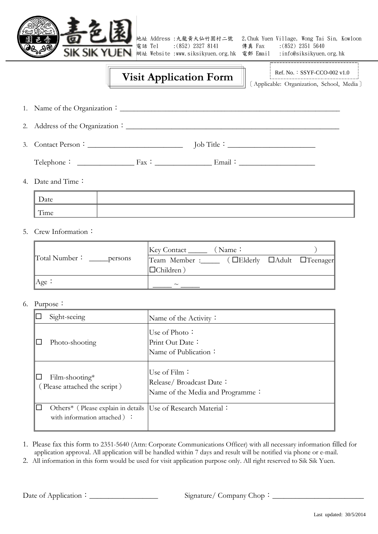

電話 Tel : (852) 2327 8141 傳真 Fax : (852) 2351 5640 網址 Website [:www.siksikyuen.org.hk](http://www.siksikyuen.org.hk/) 電郵 Email [:info@siksikyuen.org.hk](mailto:info@siksikyuen.org.hk)

地址 Address :九龍黃大仙竹園村二號 2,Chuk Yuen Village, Wong Tai Sin, Kowloon

## **Visit Application Form**

Ref. No.: SSYF-CCO-002 v1.0

〔Applicable: Organization, School, Media〕

- 1. Name of the Organization:\_\_\_\_\_\_\_\_\_\_\_\_\_\_\_\_\_\_\_\_\_\_\_\_\_\_\_\_\_\_\_\_\_\_\_\_\_\_\_\_\_\_\_\_\_\_\_\_\_\_\_\_\_\_\_\_\_\_\_\_\_\_\_
- 2. Address of the Organization:\_\_\_\_\_\_\_\_\_\_\_\_\_\_\_\_\_\_\_\_\_\_\_\_\_\_\_\_\_\_\_\_\_\_\_\_\_\_\_\_\_\_\_\_\_\_\_\_\_\_\_\_\_\_\_\_

j.

3. Contact Person:\_\_\_\_\_\_\_\_\_\_\_\_\_\_\_\_\_\_\_\_\_\_\_\_\_ Job Title:\_\_\_\_\_\_\_\_\_\_\_\_\_\_\_\_\_\_\_\_\_\_\_

 $\text{Telephone}:$   $\qquad \qquad \qquad \text{Fax}:$   $\qquad \qquad \qquad \text{Email}:$ 

4. Date and Time:

| Date |  |
|------|--|
| Time |  |

5. Crew Information:

|                          | Key Contact<br>(Name:                       |
|--------------------------|---------------------------------------------|
| Total Number:<br>persons | (DElderly DAdult DTeenager<br>Team Member : |
|                          | $\Box$ Children)                            |
| Age:                     | $\sim$                                      |

6. Purpose:

| Sight-seeing                                                                                   | Name of the Activity:                                                       |
|------------------------------------------------------------------------------------------------|-----------------------------------------------------------------------------|
| Photo-shooting                                                                                 | Use of Photo:<br>Print Out Date:<br>Name of Publication:                    |
| $Film-shoothing*$<br>(Please attached the script)                                              | Use of Film:<br>Release/Broadcast Date:<br>Name of the Media and Programme: |
| Others* (Please explain in details  Use of Research Material:<br>with information attached ) : |                                                                             |

- 1. Please fax this form to 2351-5640 (Attn: Corporate Communications Officer) with all necessary information filled for application approval. All application will be handled within 7 days and result will be notified via phone or e-mail.
- 2. All information in this form would be used for visit application purpose only. All right reserved to Sik Sik Yuen.